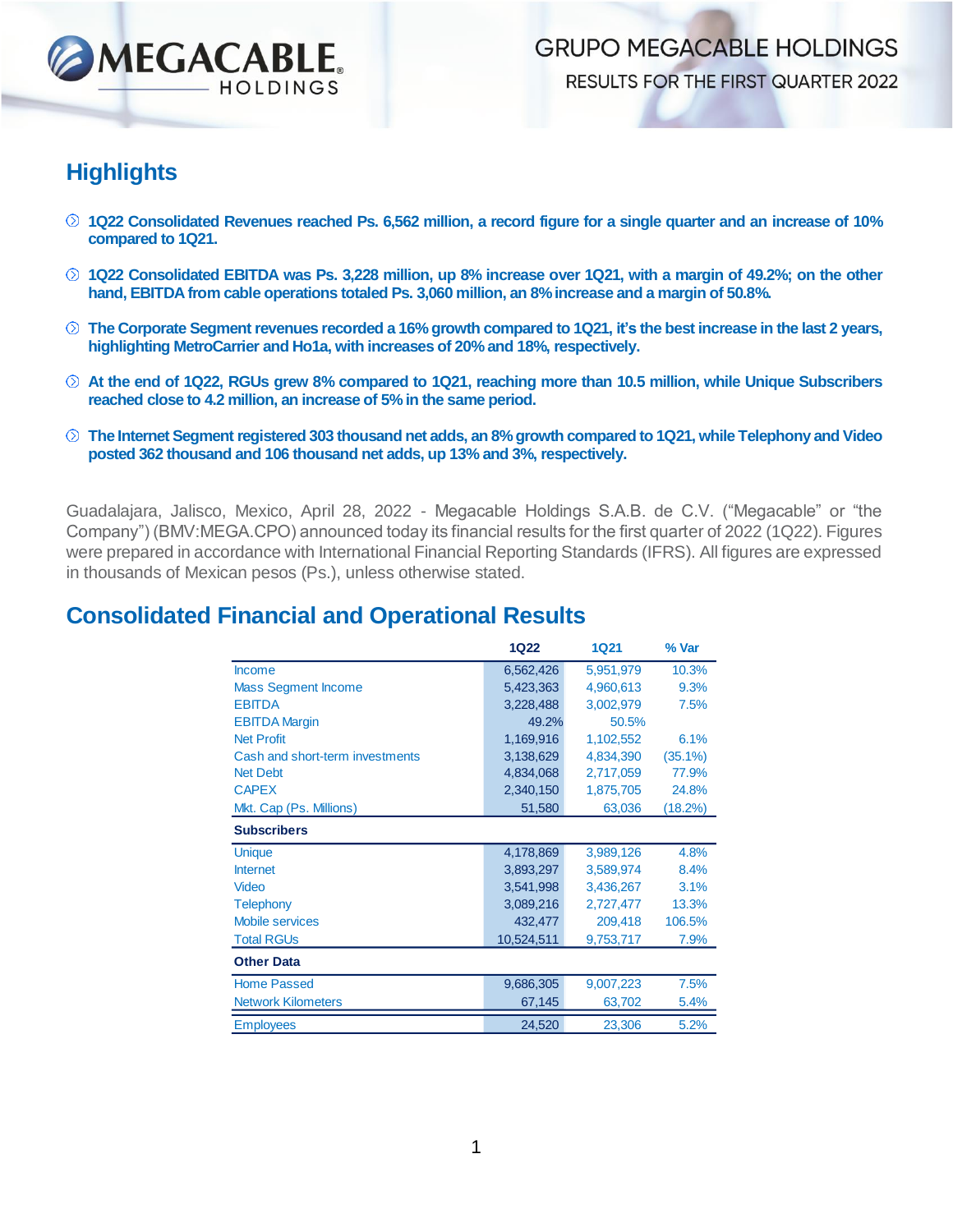

**GRUPO MEGACABLE HOLDINGS** RESULTS FOR THE FIRST QUARTER 2022

#### **Highlights**

- **1Q22 Consolidated Revenues reached Ps. 6,562 million, a record figure for a single quarter and an increase of 10% compared to 1Q21.**
- **1Q22 Consolidated EBITDA was Ps. 3,228 million, up 8% increase over 1Q21, with a margin of 49.2%; on the other hand, EBITDA from cable operations totaled Ps. 3,060 million, an 8% increase and a margin of 50.8%.**
- **The Corporate Segment revenues recorded a 16% growth compared to 1Q21, it's the best increase in the last 2 years, highlighting MetroCarrier and Ho1a, with increases of 20% and 18%, respectively.**
- **At the end of 1Q22, RGUs grew 8% compared to 1Q21, reaching more than 10.5 million, while Unique Subscribers reached close to 4.2 million, an increase of 5% in the same period.**
- $\heartsuit$  The Internet Segment registered 303 thousand net adds, an 8% growth compared to 1Q21, while Telephony and Video **posted 362 thousand and 106 thousand net adds, up 13% and 3%, respectively.**

Guadalajara, Jalisco, Mexico, April 28, 2022 - Megacable Holdings S.A.B. de C.V. ("Megacable" or "the Company") (BMV:MEGA.CPO) announced today its financial results for the first quarter of 2022 (1Q22). Figures were prepared in accordance with International Financial Reporting Standards (IFRS). All figures are expressed in thousands of Mexican pesos (Ps.), unless otherwise stated.

#### **Consolidated Financial and Operational Results**

|                                 | 1Q22       | <b>1Q21</b> | % Var      |
|---------------------------------|------------|-------------|------------|
| <b>Income</b>                   | 6,562,426  | 5,951,979   | 10.3%      |
| <b>Mass Segment Income</b>      | 5,423,363  | 4,960,613   | 9.3%       |
| <b>EBITDA</b>                   | 3,228,488  | 3,002,979   | 7.5%       |
| <b>EBITDA Margin</b>            | 49.2%      | 50.5%       |            |
| <b>Net Profit</b>               | 1,169,916  | 1,102,552   | 6.1%       |
| Cash and short-term investments | 3,138,629  | 4,834,390   | $(35.1\%)$ |
| <b>Net Debt</b>                 | 4,834,068  | 2,717,059   | 77.9%      |
| <b>CAPEX</b>                    | 2,340,150  | 1,875,705   | 24.8%      |
| Mkt. Cap (Ps. Millions)         | 51,580     | 63,036      | (18.2%)    |
| <b>Subscribers</b>              |            |             |            |
| <b>Unique</b>                   | 4,178,869  | 3,989,126   | 4.8%       |
| <b>Internet</b>                 | 3,893,297  | 3,589,974   | 8.4%       |
| <b>Video</b>                    | 3,541,998  | 3,436,267   | 3.1%       |
| <b>Telephony</b>                | 3,089,216  | 2,727,477   | 13.3%      |
| <b>Mobile services</b>          | 432,477    | 209,418     | 106.5%     |
| <b>Total RGUs</b>               | 10,524,511 | 9,753,717   | 7.9%       |
| <b>Other Data</b>               |            |             |            |
| <b>Home Passed</b>              | 9,686,305  | 9,007,223   | 7.5%       |
| <b>Network Kilometers</b>       | 67,145     | 63,702      | 5.4%       |
| <b>Employees</b>                | 24,520     | 23,306      | 5.2%       |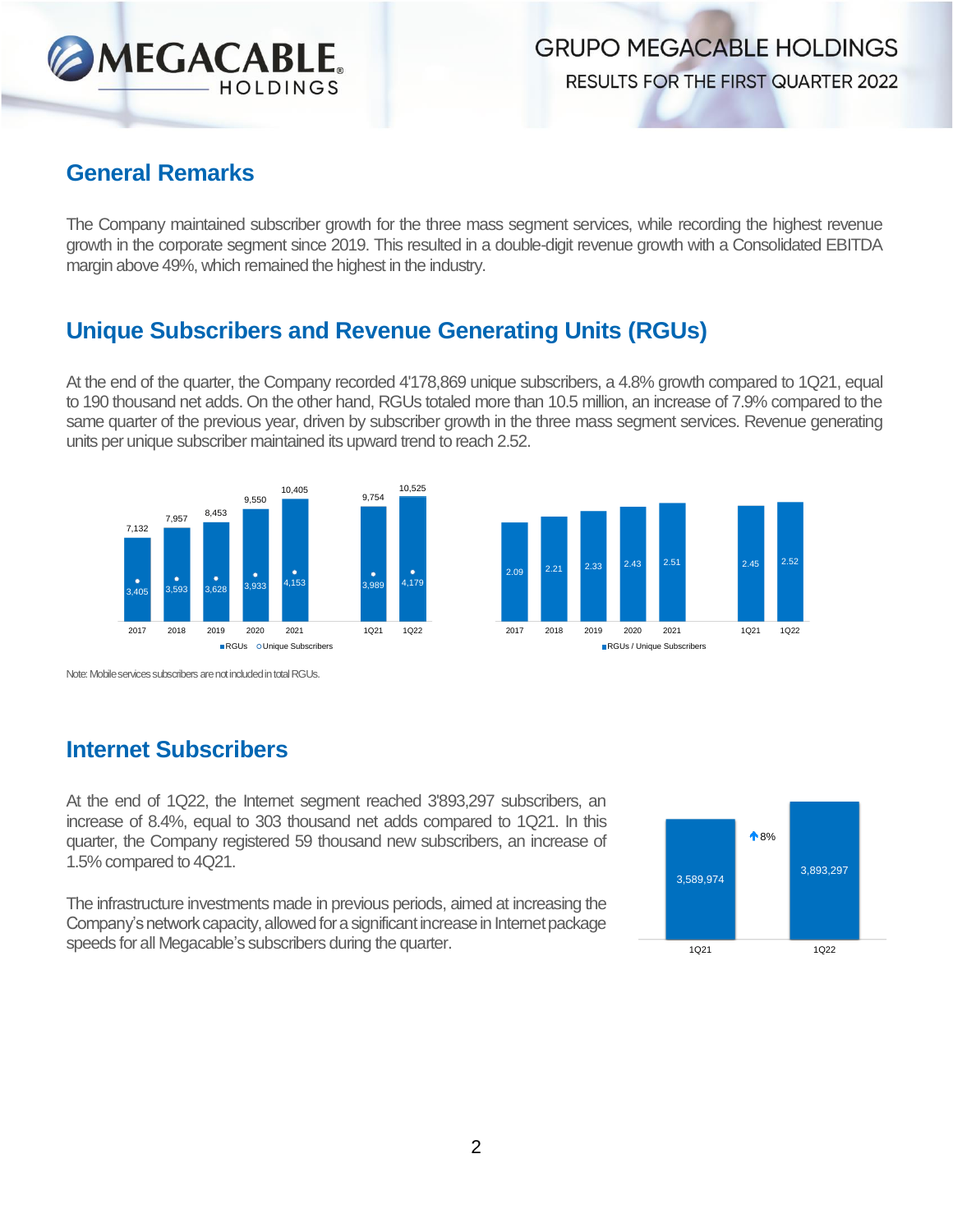

**RESULTS FOR THE FIRST QUARTER 2022** 

#### **General Remarks**

The Company maintained subscriber growth for the three mass segment services, while recording the highest revenue growth in the corporate segment since 2019. This resulted in a double-digit revenue growth with a Consolidated EBITDA margin above 49%, which remained the highest in the industry.

#### **Unique Subscribers and Revenue Generating Units (RGUs)**

At the end of the quarter, the Company recorded 4'178,869 unique subscribers, a 4.8% growth compared to 1Q21, equal to 190 thousand net adds. On the other hand, RGUs totaled more than 10.5 million, an increase of 7.9% compared to the same quarter of the previous year, driven by subscriber growth in the three mass segment services. Revenue generating units per unique subscriber maintained its upward trend to reach 2.52.





Note: Mobile services subscribers are not included in total RGUs.

### **Internet Subscribers**

At the end of 1Q22, the Internet segment reached 3'893,297 subscribers, an increase of 8.4%, equal to 303 thousand net adds compared to 1Q21. In this quarter, the Company registered 59 thousand new subscribers, an increase of 1.5% compared to 4Q21.

The infrastructure investments made in previous periods, aimed at increasing the Company's network capacity, allowed for a significant increase in Internet package speeds for all Megacable's subscribers during the quarter.

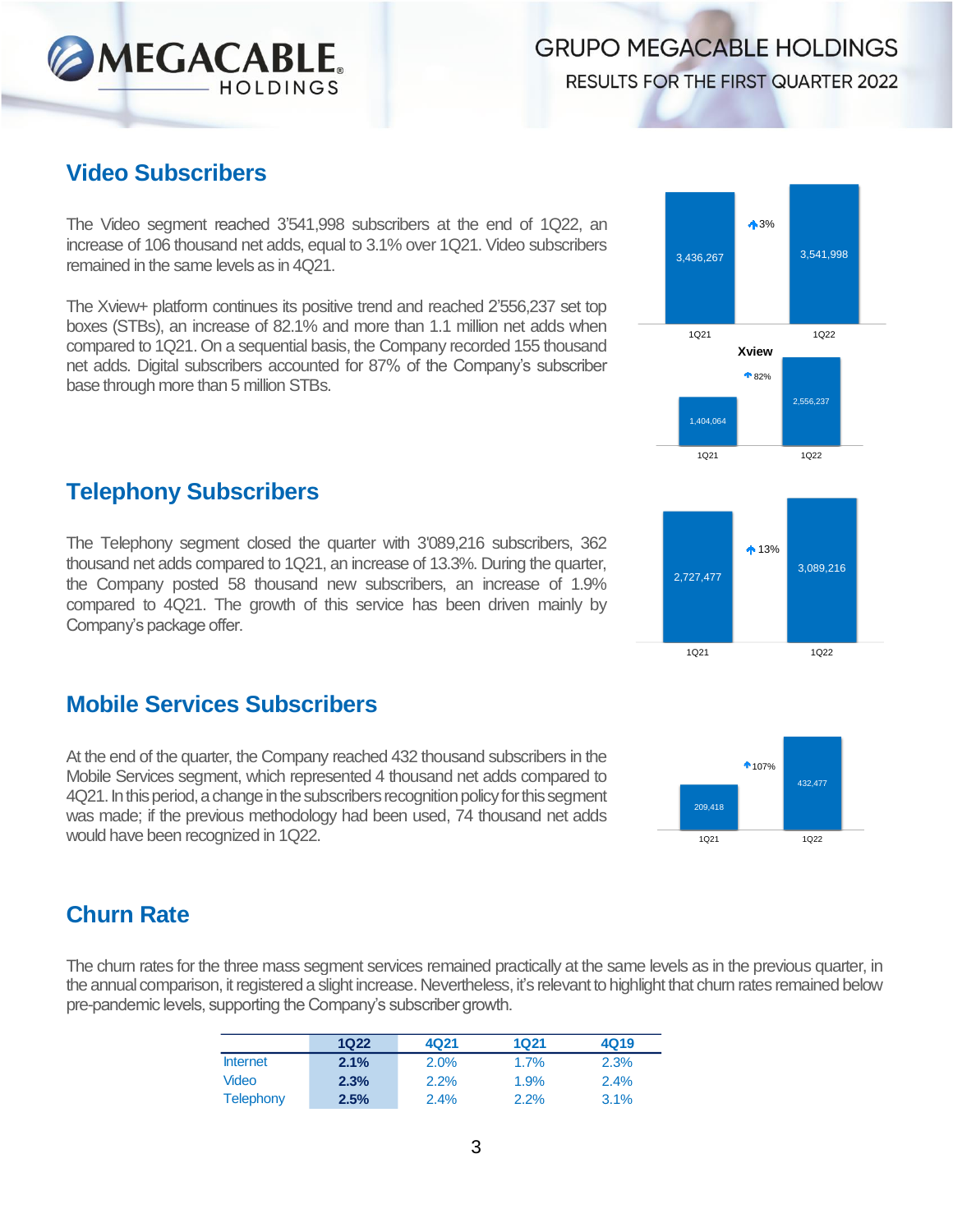**RESULTS FOR THE FIRST QUARTER 2022** 

#### **Video Subscribers**

The Video segment reached 3'541,998 subscribers at the end of 1Q22, an increase of 106 thousand net adds, equal to 3.1% over 1Q21. Video subscribers remained in the same levels as in 4Q21.

The Xview+ platform continues its positive trend and reached 2'556,237 set top boxes (STBs), an increase of 82.1% and more than 1.1 million net adds when compared to 1Q21. On a sequential basis, the Company recorded 155 thousand net adds. Digital subscribers accounted for 87% of the Company's subscriber base through more than 5 million STBs.

#### **Telephony Subscribers**

The Telephony segment closed the quarter with 3'089,216 subscribers, 362 thousand net adds compared to 1Q21, an increase of 13.3%. During the quarter, the Company posted 58 thousand new subscribers, an increase of 1.9% compared to 4Q21. The growth of this service has been driven mainly by Company's package offer.

#### **Mobile Services Subscribers**

At the end of the quarter, the Company reached 432 thousand subscribers in the Mobile Services segment, which represented 4 thousand net adds compared to 4Q21. In this period, a change in the subscribers recognition policy for this segment was made; if the previous methodology had been used, 74 thousand net adds would have been recognized in 1Q22.

### **Churn Rate**

The chum rates for the three mass segment services remained practically at the same levels as in the previous quarter, in the annual comparison, it registered a slight increase. Nevertheless, it's relevant to highlight that churn rates remained below pre-pandemic levels, supporting the Company's subscriber growth.

|                 | 1Q22 | 4Q21 | 1Q21 | 4Q19 |
|-----------------|------|------|------|------|
| <b>Internet</b> | 2.1% | 2.0% | 1.7% | 2.3% |
| Video           | 2.3% | 2.2% | 1.9% | 2.4% |
| Telephony       | 2.5% | 2.4% | 2.2% | 3.1% |







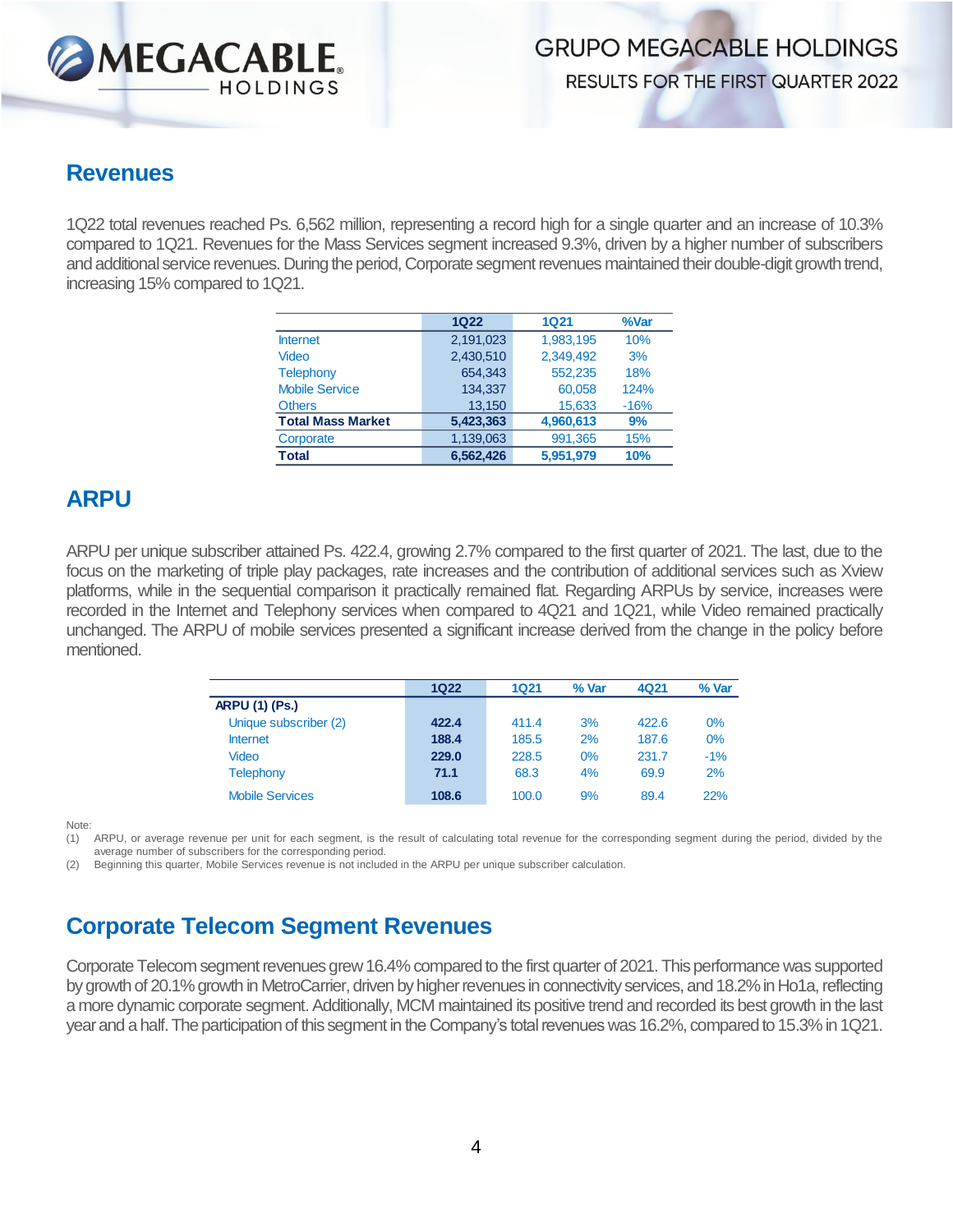

#### **Revenues**

1Q22 total revenues reached Ps. 6,562 million, representing a record high for a single quarter and an increase of 10.3% compared to 1Q21. Revenues for the Mass Services segment increased 9.3%, driven by a higher number of subscribers and additional service revenues. During the period, Corporate segment revenues maintained their double-digit growth trend, increasing 15% compared to 1Q21.

|                          | <b>1Q22</b> | <b>1Q21</b> | %Var   |
|--------------------------|-------------|-------------|--------|
| <b>Internet</b>          | 2.191.023   | 1,983,195   | 10%    |
| Video                    | 2,430,510   | 2.349.492   | 3%     |
| <b>Telephony</b>         | 654.343     | 552.235     | 18%    |
| <b>Mobile Service</b>    | 134.337     | 60.058      | 124%   |
| <b>Others</b>            | 13,150      | 15,633      | $-16%$ |
| <b>Total Mass Market</b> | 5,423,363   | 4,960,613   | 9%     |
| Corporate                | 1,139,063   | 991,365     | 15%    |
| <b>Total</b>             | 6.562.426   | 5.951.979   | 10%    |

#### **ARPU**

ARPU per unique subscriber attained Ps. 422.4, growing 2.7% compared to the first quarter of 2021. The last, due to the focus on the marketing of triple play packages, rate increases and the contribution of additional services such as Xview platforms, while in the sequential comparison it practically remained flat. Regarding ARPUs by service, increases were recorded in the Internet and Telephony services when compared to 4Q21 and 1Q21, while Video remained practically unchanged. The ARPU of mobile services presented a significant increase derived from the change in the policy before mentioned.

|                        | 1Q22  | 1Q21  | % Var | 4Q21  | % Var |
|------------------------|-------|-------|-------|-------|-------|
| <b>ARPU (1) (Ps.)</b>  |       |       |       |       |       |
| Unique subscriber (2)  | 422.4 | 411.4 | 3%    | 422.6 | $0\%$ |
| <b>Internet</b>        | 188.4 | 185.5 | 2%    | 187.6 | 0%    |
| Video                  | 229.0 | 228.5 | 0%    | 231.7 | $-1%$ |
| <b>Telephony</b>       | 71.1  | 68.3  | 4%    | 69.9  | 2%    |
| <b>Mobile Services</b> | 108.6 | 100.0 | 9%    | 89.4  | 22%   |

Note:

(1) ARPU, or average revenue per unit for each segment, is the result of calculating total revenue for the corresponding segment during the period, divided by the average number of subscribers for the corresponding period.

(2) Beginning this quarter, Mobile Services revenue is not included in the ARPU per unique subscriber calculation.

## **Corporate Telecom Segment Revenues**

Corporate Telecom segment revenues grew 16.4% compared to the first quarter of 2021. This performance was supported by growth of 20.1% growth in MetroCarrier, driven by higher revenues in connectivity services, and 18.2% in Ho1a, reflecting a more dynamic corporate segment. Additionally, MCM maintained its positive trend and recorded its best growth in the last year and a half. The participation of this segment in the Company's total revenues was 16.2%, compared to 15.3% in 1Q21.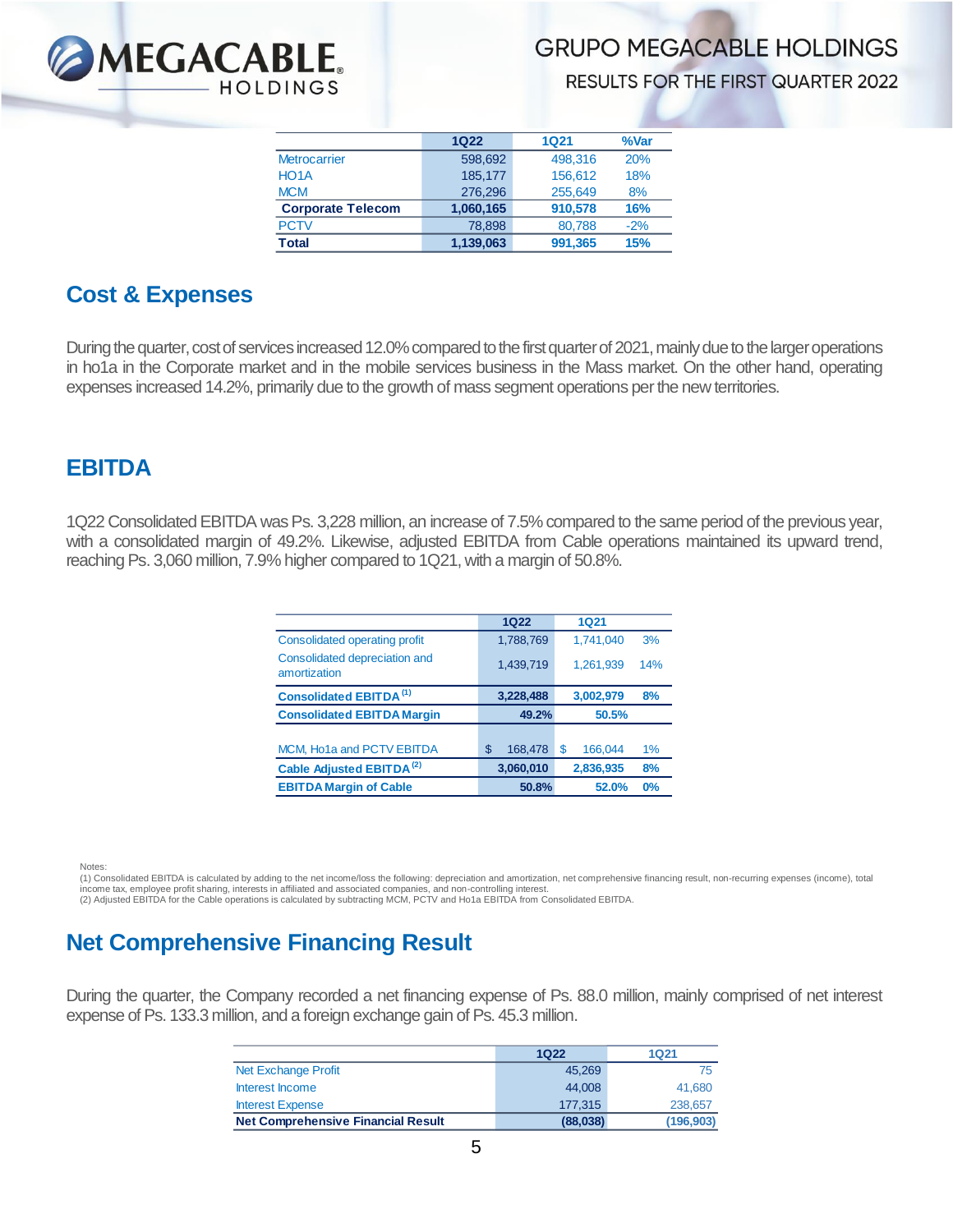

RESULTS FOR THE FIRST QUARTER 2022

|                          | 1Q22      | 1Q21    | %Var  |
|--------------------------|-----------|---------|-------|
| <b>Metrocarrier</b>      | 598.692   | 498.316 | 20%   |
| HO <sub>1</sub> A        | 185.177   | 156.612 | 18%   |
| <b>MCM</b>               | 276.296   | 255,649 | 8%    |
| <b>Corporate Telecom</b> | 1,060,165 | 910.578 | 16%   |
| <b>PCTV</b>              | 78.898    | 80,788  | $-2%$ |
| Total                    | 1,139,063 | 991,365 | 15%   |

#### **Cost & Expenses**

During the quarter, cost of services increased 12.0% compared to the first quarter of 2021, mainly due to the larger operations in ho1a in the Corporate market and in the mobile services business in the Mass market. On the other hand, operating expenses increased 14.2%, primarily due to the growth of mass segment operations per the new territories.

#### **EBITDA**

1Q22 Consolidated EBITDA was Ps. 3,228 million, an increase of 7.5% compared to the same period of the previous year, with a consolidated margin of 49.2%. Likewise, adjusted EBITDA from Cable operations maintained its upward trend, reaching Ps. 3,060 million, 7.9% higher compared to 1Q21, with a margin of 50.8%.

| 1Q22          | <b>1Q21</b>   |     |
|---------------|---------------|-----|
| 1,788,769     | 1,741,040     | 3%  |
| 1,439,719     | 1,261,939     | 14% |
| 3,228,488     | 3,002,979     | 8%  |
| 49.2%         | 50.5%         |     |
|               |               |     |
| \$<br>168,478 | \$<br>166,044 | 1%  |
| 3,060,010     | 2,836,935     | 8%  |
| 50.8%         | 52.0%         | 0%  |
|               |               |     |

Notes:

(1) Consolidated EBITDA is calculated by adding to the net income/loss the following: depreciation and amortization, net comprehensive financing result, non-recurring expenses (income), total income tax, employee profit sharing, interests in affiliated and associated companies, and non-controlling interest.<br>(2) Adjusted EBITDA for the Cable operations is calculated by subtracting MCM, PCTV and Ho1a EBITDA from

### **Net Comprehensive Financing Result**

During the quarter, the Company recorded a net financing expense of Ps. 88.0 million, mainly comprised of net interest expense of Ps. 133.3 million, and a foreign exchange gain of Ps. 45.3 million.

|                                           | 1Q22     | 1Q21       |
|-------------------------------------------|----------|------------|
| Net Exchange Profit                       | 45,269   | 75         |
| Interest Income                           | 44,008   | 41.680     |
| <b>Interest Expense</b>                   | 177.315  | 238,657    |
| <b>Net Comprehensive Financial Result</b> | (88,038) | (196, 903) |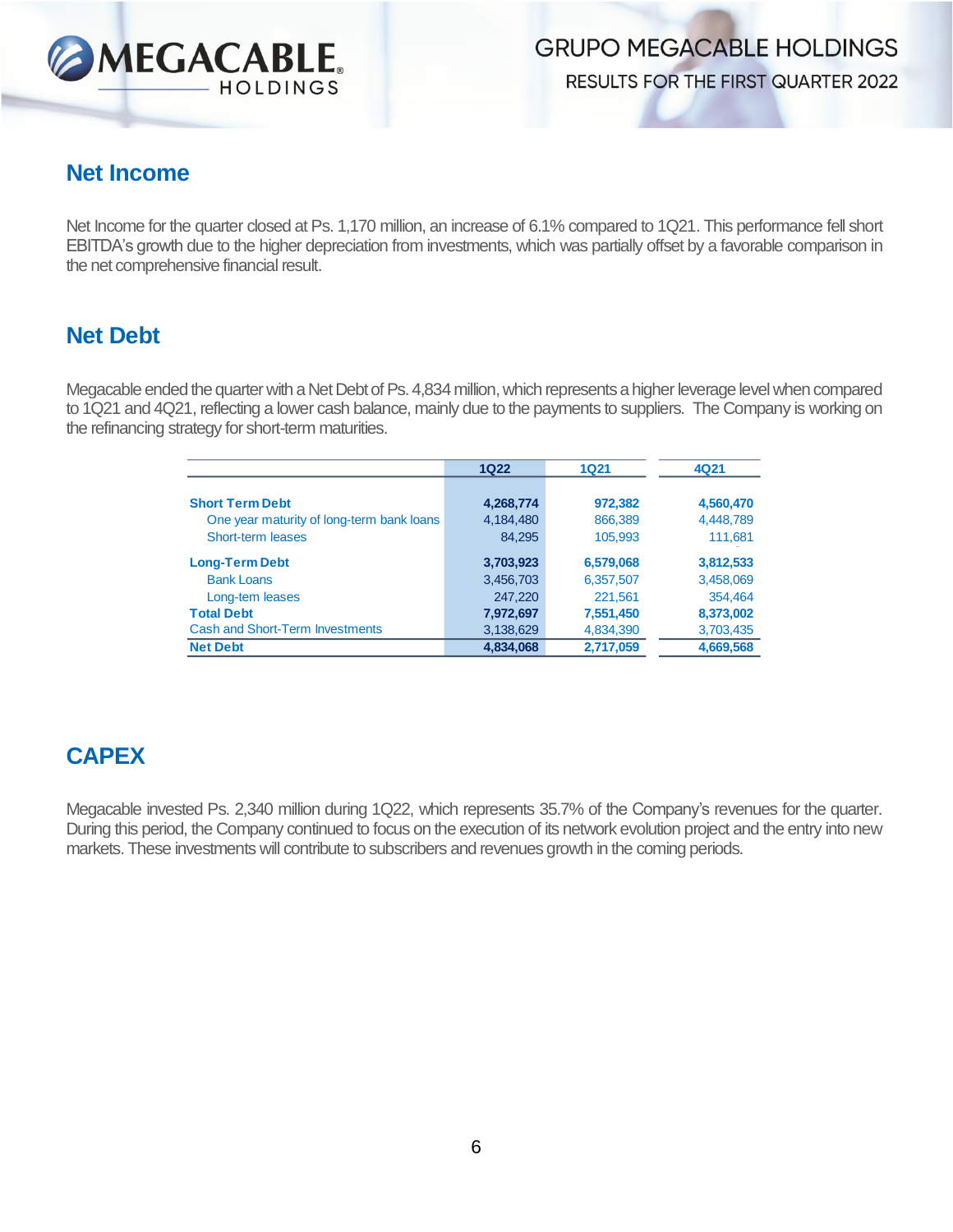

**RESULTS FOR THE FIRST QUARTER 2022** 

#### **Net Income**

Net Income for the quarter closed at Ps. 1,170 million, an increase of 6.1% compared to 1Q21. This performance fell short EBITDA's growth due to the higher depreciation from investments, which was partially offset by a favorable comparison in the net comprehensive financial result.

#### **Net Debt**

Megacable ended the quarter with a Net Debt of Ps. 4,834 million, which represents a higher leverage level when compared to 1Q21 and 4Q21, reflecting a lower cash balance, mainly due to the payments to suppliers. The Company is working on the refinancing strategy for short-term maturities.

|                                           | <b>1Q22</b> | 1Q21      |           |
|-------------------------------------------|-------------|-----------|-----------|
| <b>Short Term Debt</b>                    | 4,268,774   | 972,382   | 4,560,470 |
| One year maturity of long-term bank loans | 4,184,480   | 866,389   | 4,448,789 |
| Short-term leases                         | 84,295      | 105,993   | 111,681   |
| <b>Long-Term Debt</b>                     | 3,703,923   | 6,579,068 | 3,812,533 |
| <b>Bank Loans</b>                         | 3,456,703   | 6,357,507 | 3,458,069 |
| Long-tem leases                           | 247,220     | 221,561   | 354.464   |
| <b>Total Debt</b>                         | 7,972,697   | 7,551,450 | 8,373,002 |
| <b>Cash and Short-Term Investments</b>    | 3,138,629   | 4,834,390 | 3,703,435 |
| <b>Net Debt</b>                           | 4,834,068   | 2,717,059 | 4,669,568 |

## **CAPEX**

Megacable invested Ps. 2,340 million during 1Q22, which represents 35.7% of the Company's revenues for the quarter. During this period, the Company continued to focus on the execution of its network evolution project and the entry into new markets. These investments will contribute to subscribers and revenues growth in the coming periods.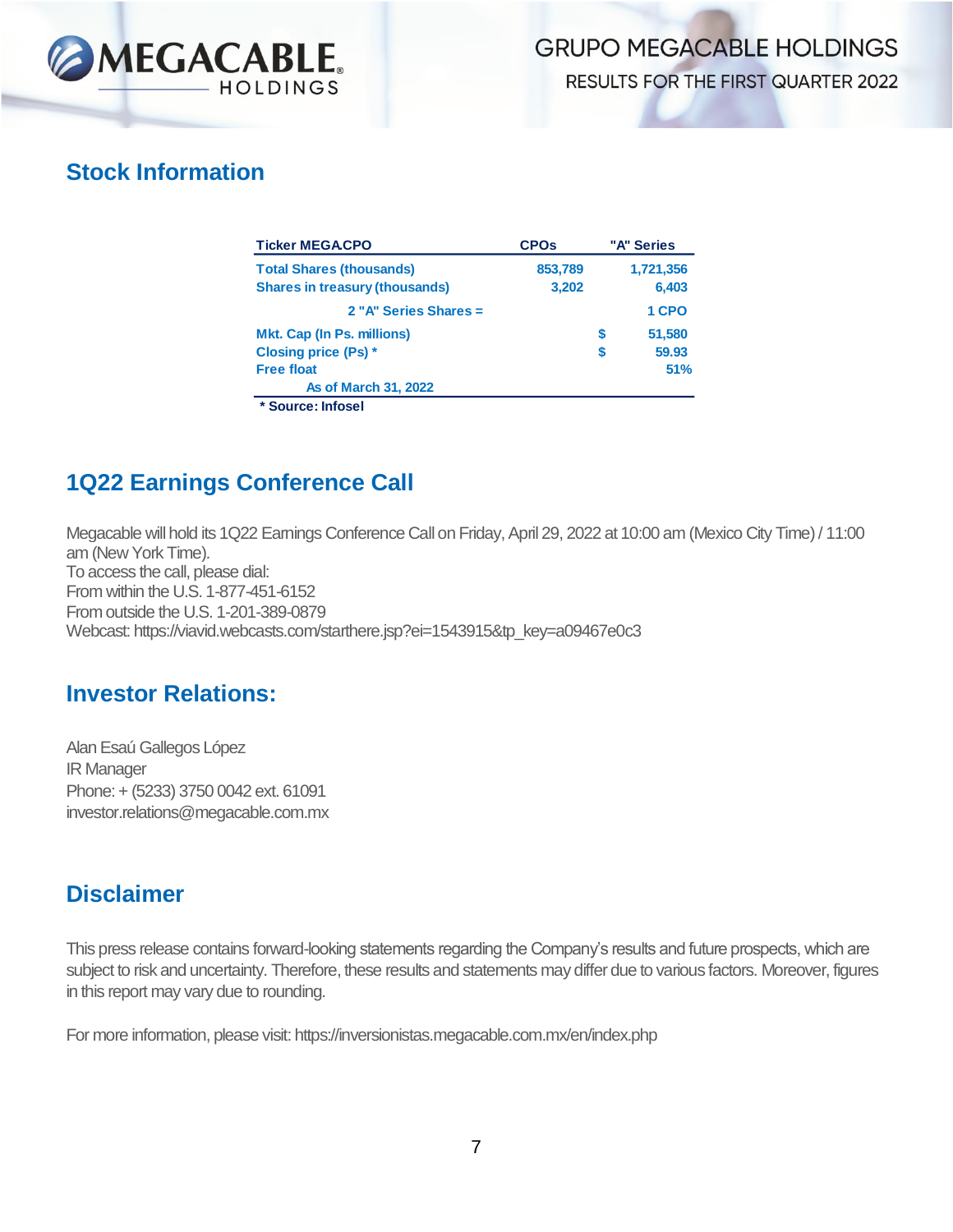

**RESULTS FOR THE FIRST QUARTER 2022** 

#### **Stock Information**

| <b>Ticker MEGACPO</b>                 | <b>CPOs</b> | "A" Series  |
|---------------------------------------|-------------|-------------|
| <b>Total Shares (thousands)</b>       | 853,789     | 1,721,356   |
| <b>Shares in treasury (thousands)</b> | 3,202       | 6,403       |
| 2 "A" Series Shares =                 |             | 1 CPO       |
| <b>Mkt. Cap (In Ps. millions)</b>     |             | 51.580<br>S |
| <b>Closing price (Ps) *</b>           |             | 59.93<br>S  |
| <b>Free float</b>                     |             | 51%         |
| <b>As of March 31, 2022</b>           |             |             |
| * Source: Infosel                     |             |             |

### **1Q22 Earnings Conference Call**

Megacable will hold its 1Q22 Earnings Conference Call on Friday, April 29, 2022 at 10:00 am (Mexico City Time) / 11:00 am (New York Time). To access the call, please dial: From within the U.S. 1-877-451-6152 From outside the U.S. 1-201-389-0879 Webcast: https://viavid.webcasts.com/starthere.jsp?ei=1543915&tp\_key=a09467e0c3

#### **Investor Relations:**

Alan Esaú Gallegos López IR Manager Phone: + (5233) 3750 0042 ext. 61091 investor.relations@megacable.com.mx

#### **Disclaimer**

This press release contains forward-looking statements regarding the Company's results and future prospects, which are subject to risk and uncertainty. Therefore, these results and statements may differ due to various factors. Moreover, figures in this report may vary due to rounding.

For more information, please visit: https://inversionistas.megacable.com.mx/en/index.php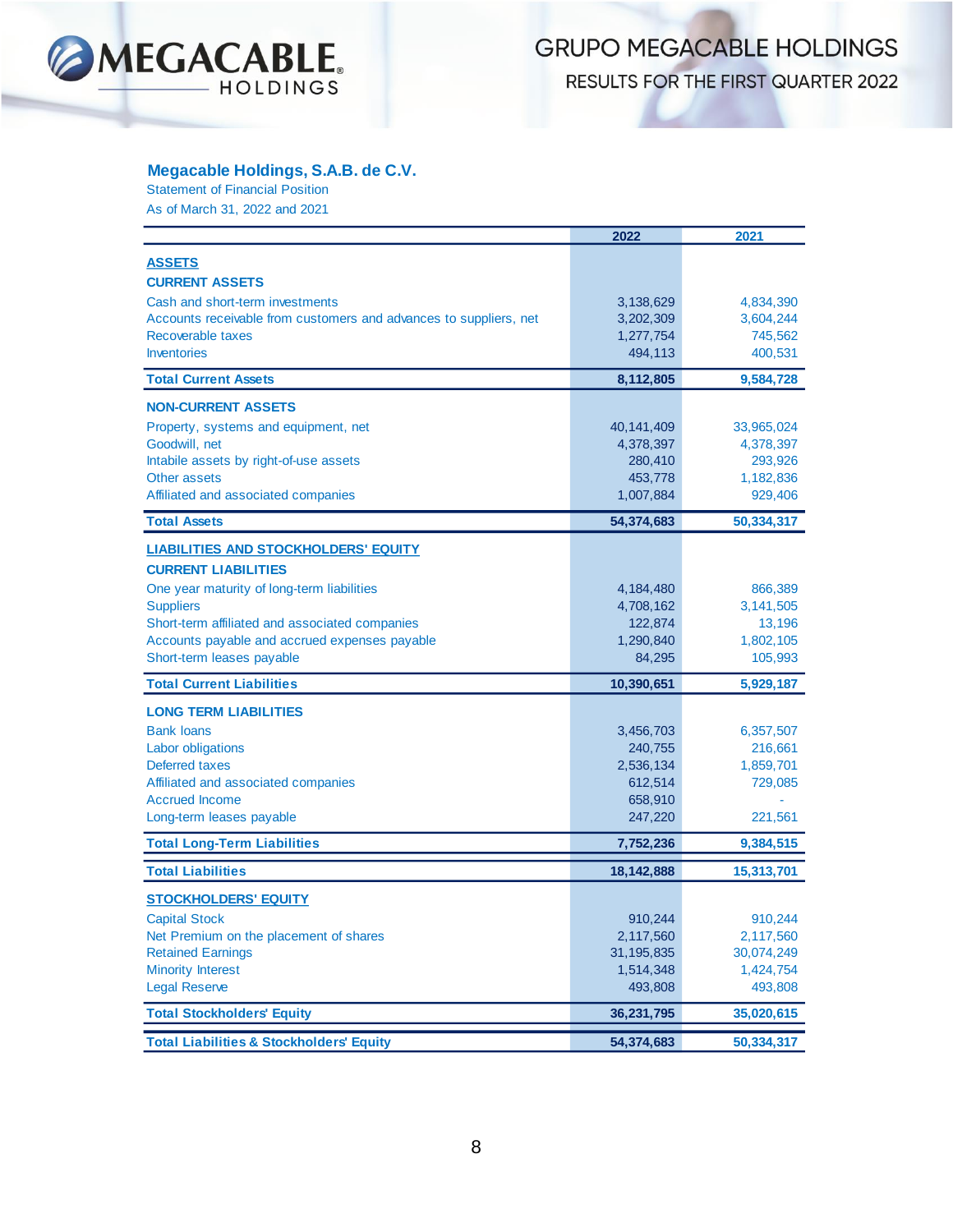

RESULTS FOR THE FIRST QUARTER 2022

#### **Megacable Holdings, S.A.B. de C.V.**

Statement of Financial Position As of March 31, 2022 and 2021

|                                                                   | 2022                 | 2021                |
|-------------------------------------------------------------------|----------------------|---------------------|
| <b>ASSETS</b>                                                     |                      |                     |
|                                                                   |                      |                     |
| <b>CURRENT ASSETS</b>                                             |                      |                     |
| Cash and short-term investments                                   | 3,138,629            | 4,834,390           |
| Accounts receivable from customers and advances to suppliers, net | 3,202,309            | 3,604,244           |
| Recoverable taxes<br><b>Inventories</b>                           | 1,277,754<br>494,113 | 745,562<br>400,531  |
|                                                                   |                      |                     |
| <b>Total Current Assets</b>                                       | 8,112,805            | 9,584,728           |
| <b>NON-CURRENT ASSETS</b>                                         |                      |                     |
| Property, systems and equipment, net                              | 40,141,409           | 33,965,024          |
| Goodwill, net                                                     | 4,378,397            | 4,378,397           |
| Intabile assets by right-of-use assets                            | 280,410              | 293,926             |
| <b>Other assets</b>                                               | 453,778              | 1,182,836           |
| Affiliated and associated companies                               | 1,007,884            | 929,406             |
| <b>Total Assets</b>                                               | 54,374,683           | 50,334,317          |
| <b>LIABILITIES AND STOCKHOLDERS' EQUITY</b>                       |                      |                     |
| <b>CURRENT LIABILITIES</b>                                        |                      |                     |
|                                                                   |                      |                     |
| One year maturity of long-term liabilities<br><b>Suppliers</b>    | 4,184,480            | 866,389             |
| Short-term affiliated and associated companies                    | 4,708,162<br>122,874 | 3,141,505<br>13,196 |
| Accounts payable and accrued expenses payable                     | 1,290,840            | 1,802,105           |
| Short-term leases payable                                         | 84,295               | 105,993             |
| <b>Total Current Liabilities</b>                                  |                      |                     |
|                                                                   | 10,390,651           | 5,929,187           |
| <b>LONG TERM LIABILITIES</b>                                      |                      |                     |
| <b>Bank loans</b>                                                 | 3,456,703            | 6,357,507           |
| Labor obligations                                                 | 240,755              | 216,661             |
| Deferred taxes                                                    | 2,536,134            | 1,859,701           |
| Affiliated and associated companies                               | 612,514              | 729,085             |
| <b>Accrued Income</b>                                             | 658,910              |                     |
| Long-term leases payable                                          | 247,220              | 221,561             |
| <b>Total Long-Term Liabilities</b>                                | 7,752,236            | 9,384,515           |
| <b>Total Liabilities</b>                                          | 18,142,888           | 15,313,701          |
| <b>STOCKHOLDERS' EQUITY</b>                                       |                      |                     |
| <b>Capital Stock</b>                                              | 910.244              | 910,244             |
| Net Premium on the placement of shares                            | 2,117,560            | 2,117,560           |
| <b>Retained Earnings</b>                                          | 31, 195, 835         | 30,074,249          |
| <b>Minority Interest</b>                                          | 1,514,348            | 1,424,754           |
| <b>Legal Reserve</b>                                              | 493,808              | 493,808             |
| <b>Total Stockholders' Equity</b>                                 | 36,231,795           | 35,020,615          |
|                                                                   |                      |                     |
| <b>Total Liabilities &amp; Stockholders' Equity</b>               | 54,374,683           | 50,334,317          |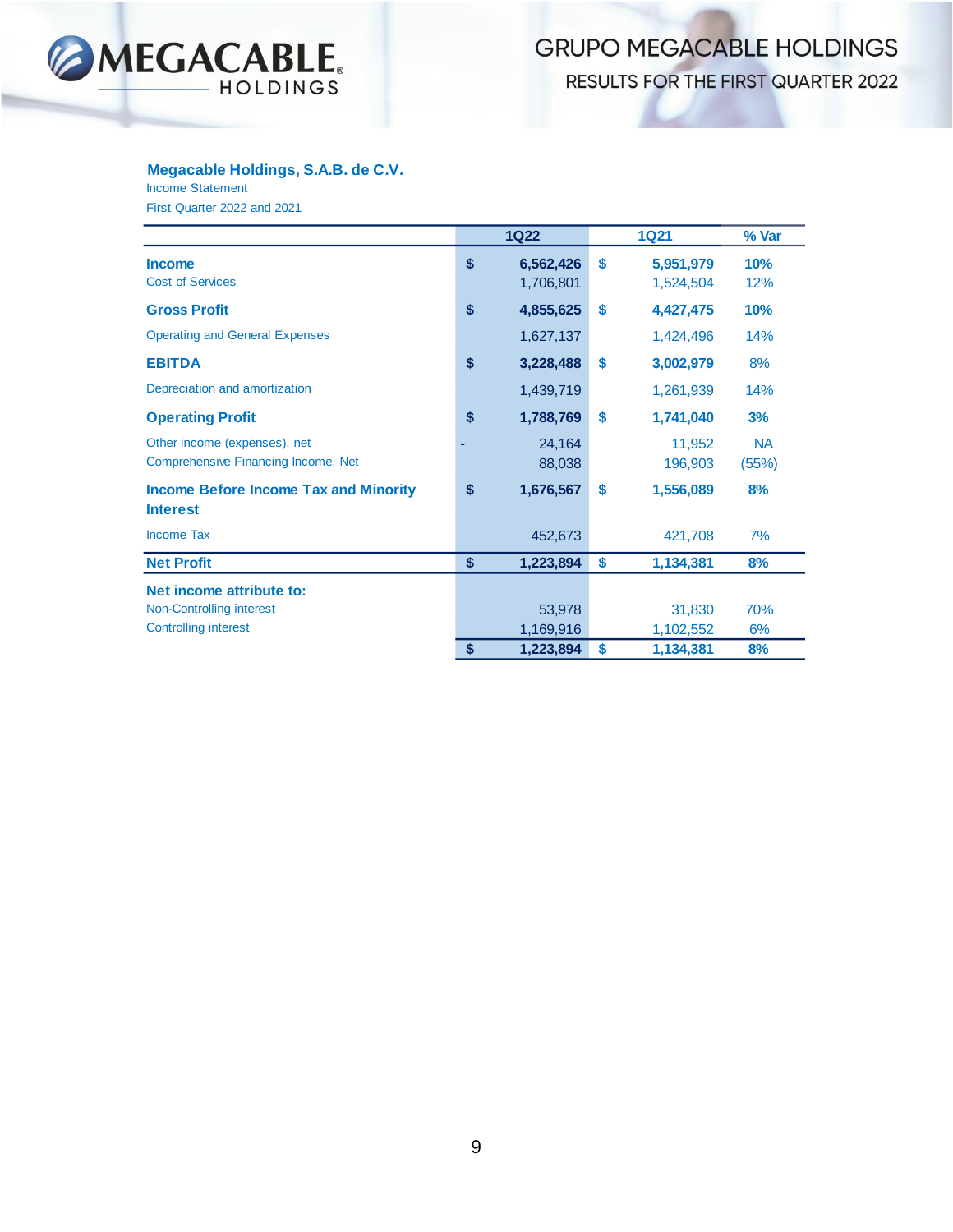

RESULTS FOR THE FIRST QUARTER 2022

#### **Megacable Holdings, S.A.B. de C.V.**

Income Statement

First Quarter 2022 and 2021

|                                                                     | <b>1Q22</b>                  |    | <b>1Q21</b>            | % Var              |
|---------------------------------------------------------------------|------------------------------|----|------------------------|--------------------|
| <b>Income</b><br><b>Cost of Services</b>                            | \$<br>6,562,426<br>1,706,801 | \$ | 5,951,979<br>1,524,504 | 10%<br>12%         |
| <b>Gross Profit</b>                                                 | \$<br>4,855,625              | \$ | 4,427,475              | 10%                |
| <b>Operating and General Expenses</b>                               | 1,627,137                    |    | 1,424,496              | 14%                |
| <b>EBITDA</b>                                                       | \$<br>3,228,488              | \$ | 3,002,979              | 8%                 |
| Depreciation and amortization                                       | 1,439,719                    |    | 1,261,939              | 14%                |
| <b>Operating Profit</b>                                             | \$<br>1,788,769              | \$ | 1,741,040              | 3%                 |
| Other income (expenses), net<br>Comprehensive Financing Income, Net | 24,164<br>88,038             |    | 11,952<br>196,903      | <b>NA</b><br>(55%) |
| <b>Income Before Income Tax and Minority</b><br><b>Interest</b>     | \$<br>1,676,567              | \$ | 1,556,089              | 8%                 |
| <b>Income Tax</b>                                                   | 452,673                      |    | 421,708                | 7%                 |
| <b>Net Profit</b>                                                   | \$<br>1,223,894              | \$ | 1,134,381              | 8%                 |
| Net income attribute to:                                            |                              |    |                        |                    |
| Non-Controlling interest                                            | 53,978                       |    | 31,830                 | 70%                |
| <b>Controlling interest</b>                                         | 1,169,916                    |    | 1,102,552              | 6%                 |
|                                                                     | \$<br>1,223,894              | S  | 1,134,381              | 8%                 |